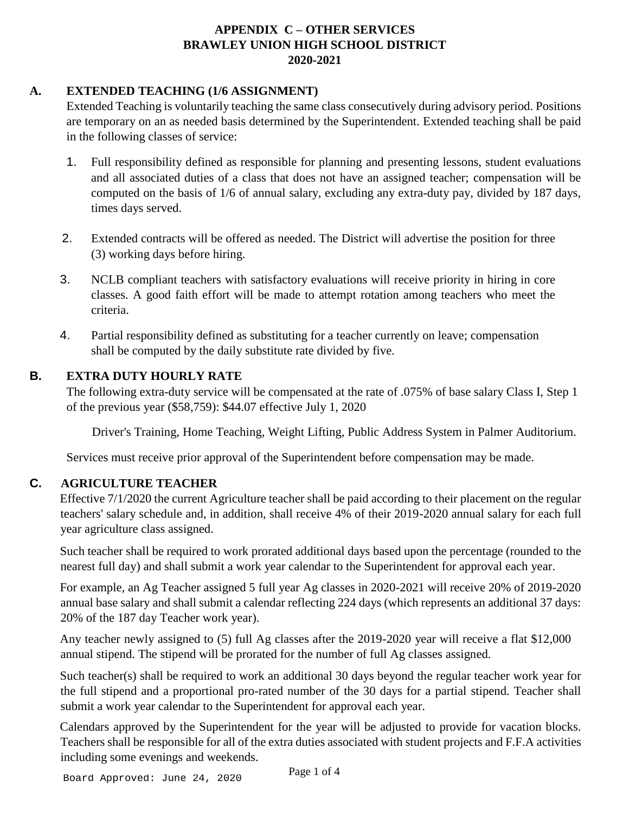### **A. EXTENDED TEACHING (1/6 ASSIGNMENT)**

Extended Teaching is voluntarily teaching the same class consecutively during advisory period. Positions are temporary on an as needed basis determined by the Superintendent. Extended teaching shall be paid in the following classes of service:

- 1. Full responsibility defined as responsible for planning and presenting lessons, student evaluations and all associated duties of a class that does not have an assigned teacher; compensation will be computed on the basis of 1/6 of annual salary, excluding any extra-duty pay, divided by 187 days, times days served.
- 2. Extended contracts will be offered as needed. The District will advertise the position for three (3) working days before hiring.
- 3. NCLB compliant teachers with satisfactory evaluations will receive priority in hiring in core classes. A good faith effort will be made to attempt rotation among teachers who meet the criteria.
- 4. Partial responsibility defined as substituting for a teacher currently on leave; compensation shall be computed by the daily substitute rate divided by five.

## **B. EXTRA DUTY HOURLY RATE**

The following extra-duty service will be compensated at the rate of .075% of base salary Class I, Step 1 of the previous year (\$58,759): \$44.07 effective July 1, 2020

Driver's Training, Home Teaching, Weight Lifting, Public Address System in Palmer Auditorium.

Services must receive prior approval of the Superintendent before compensation may be made.

## **C. AGRICULTURE TEACHER**

Effective 7/1/2020 the current Agriculture teacher shall be paid according to their placement on the regular teachers' salary schedule and, in addition, shall receive 4% of their 2019-2020 annual salary for each full year agriculture class assigned.

Such teacher shall be required to work prorated additional days based upon the percentage (rounded to the nearest full day) and shall submit a work year calendar to the Superintendent for approval each year.

For example, an Ag Teacher assigned 5 full year Ag classes in 2020-2021 will receive 20% of 2019-2020 annual base salary and shall submit a calendar reflecting 224 days (which represents an additional 37 days: 20% of the 187 day Teacher work year).

Any teacher newly assigned to (5) full Ag classes after the 2019-2020 year will receive a flat \$12,000 annual stipend. The stipend will be prorated for the number of full Ag classes assigned.

Such teacher(s) shall be required to work an additional 30 days beyond the regular teacher work year for the full stipend and a proportional pro-rated number of the 30 days for a partial stipend. Teacher shall submit a work year calendar to the Superintendent for approval each year.

Calendars approved by the Superintendent for the year will be adjusted to provide for vacation blocks. Teachers shall be responsible for all of the extra duties associated with student projects and F.F.A activities including some evenings and weekends.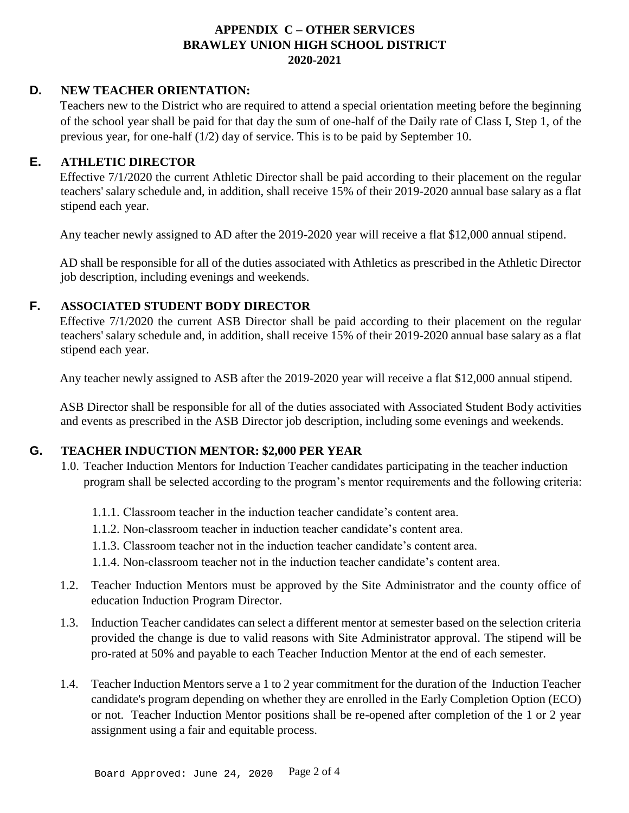### **D. NEW TEACHER ORIENTATION:**

Teachers new to the District who are required to attend a special orientation meeting before the beginning of the school year shall be paid for that day the sum of one-half of the Daily rate of Class I, Step 1, of the previous year, for one-half (1/2) day of service. This is to be paid by September 10.

### **E. ATHLETIC DIRECTOR**

Effective 7/1/2020 the current Athletic Director shall be paid according to their placement on the regular teachers' salary schedule and, in addition, shall receive 15% of their 2019-2020 annual base salary as a flat stipend each year.

Any teacher newly assigned to AD after the 2019-2020 year will receive a flat \$12,000 annual stipend.

AD shall be responsible for all of the duties associated with Athletics as prescribed in the Athletic Director job description, including evenings and weekends.

### **F. ASSOCIATED STUDENT BODY DIRECTOR**

Effective 7/1/2020 the current ASB Director shall be paid according to their placement on the regular teachers' salary schedule and, in addition, shall receive 15% of their 2019-2020 annual base salary as a flat stipend each year.

Any teacher newly assigned to ASB after the 2019-2020 year will receive a flat \$12,000 annual stipend.

ASB Director shall be responsible for all of the duties associated with Associated Student Body activities and events as prescribed in the ASB Director job description, including some evenings and weekends.

## **G. TEACHER INDUCTION MENTOR: \$2,000 PER YEAR**

- 1.0. Teacher Induction Mentors for Induction Teacher candidates participating in the teacher induction program shall be selected according to the program's mentor requirements and the following criteria:
	- 1.1.1. Classroom teacher in the induction teacher candidate's content area.
	- 1.1.2. Non-classroom teacher in induction teacher candidate's content area.
	- 1.1.3. Classroom teacher not in the induction teacher candidate's content area.
	- 1.1.4. Non-classroom teacher not in the induction teacher candidate's content area.
- 1.2. Teacher Induction Mentors must be approved by the Site Administrator and the county office of education Induction Program Director.
- 1.3. Induction Teacher candidates can select a different mentor at semester based on the selection criteria provided the change is due to valid reasons with Site Administrator approval. The stipend will be pro-rated at 50% and payable to each Teacher Induction Mentor at the end of each semester.
- 1.4. Teacher Induction Mentors serve a 1 to 2 year commitment for the duration of the Induction Teacher candidate's program depending on whether they are enrolled in the Early Completion Option (ECO) or not. Teacher Induction Mentor positions shall be re-opened after completion of the 1 or 2 year assignment using a fair and equitable process.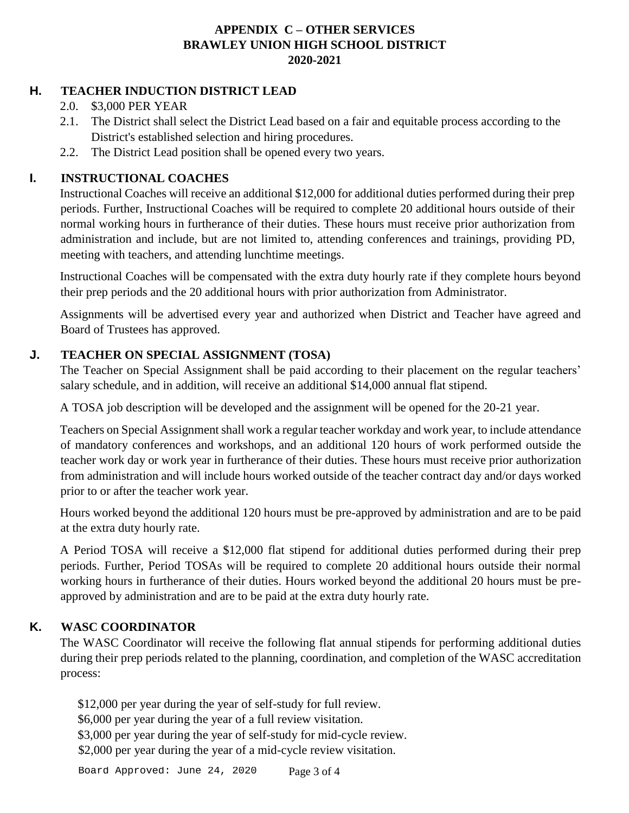# **H. TEACHER INDUCTION DISTRICT LEAD**

- 2.0. \$3,000 PER YEAR
- 2.1. The District shall select the District Lead based on a fair and equitable process according to the District's established selection and hiring procedures.
- 2.2. The District Lead position shall be opened every two years.

# **I. INSTRUCTIONAL COACHES**

Instructional Coaches will receive an additional \$12,000 for additional duties performed during their prep periods. Further, Instructional Coaches will be required to complete 20 additional hours outside of their normal working hours in furtherance of their duties. These hours must receive prior authorization from administration and include, but are not limited to, attending conferences and trainings, providing PD, meeting with teachers, and attending lunchtime meetings.

Instructional Coaches will be compensated with the extra duty hourly rate if they complete hours beyond their prep periods and the 20 additional hours with prior authorization from Administrator.

Assignments will be advertised every year and authorized when District and Teacher have agreed and Board of Trustees has approved.

# **J. TEACHER ON SPECIAL ASSIGNMENT (TOSA)**

The Teacher on Special Assignment shall be paid according to their placement on the regular teachers' salary schedule, and in addition, will receive an additional \$14,000 annual flat stipend.

A TOSA job description will be developed and the assignment will be opened for the 20-21 year.

Teachers on Special Assignment shall work a regular teacher workday and work year, to include attendance of mandatory conferences and workshops, and an additional 120 hours of work performed outside the teacher work day or work year in furtherance of their duties. These hours must receive prior authorization from administration and will include hours worked outside of the teacher contract day and/or days worked prior to or after the teacher work year.

Hours worked beyond the additional 120 hours must be pre-approved by administration and are to be paid at the extra duty hourly rate.

A Period TOSA will receive a \$12,000 flat stipend for additional duties performed during their prep periods. Further, Period TOSAs will be required to complete 20 additional hours outside their normal working hours in furtherance of their duties. Hours worked beyond the additional 20 hours must be preapproved by administration and are to be paid at the extra duty hourly rate.

# **K. WASC COORDINATOR**

The WASC Coordinator will receive the following flat annual stipends for performing additional duties during their prep periods related to the planning, coordination, and completion of the WASC accreditation process:

\$12,000 per year during the year of self-study for full review.

\$6,000 per year during the year of a full review visitation.

\$3,000 per year during the year of self-study for mid-cycle review.

\$2,000 per year during the year of a mid-cycle review visitation.